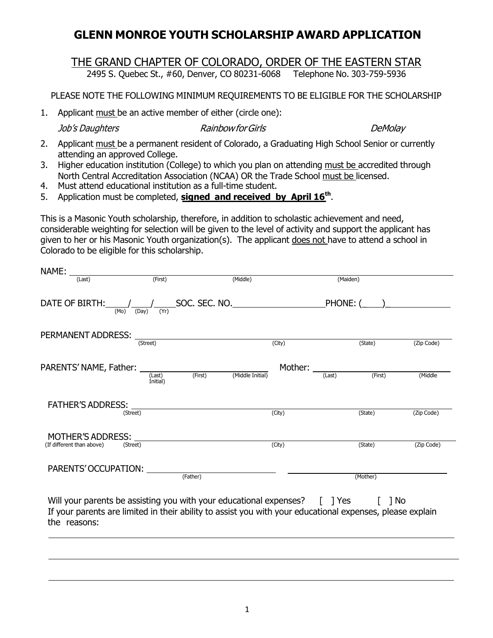## **GLENN MONROE YOUTH SCHOLARSHIP AWARD APPLICATION**

## THE GRAND CHAPTER OF COLORADO, ORDER OF THE EASTERN STAR<br>2495 S. Ouebec St., #60, Denver, CO 80231-6068 Telephone No. 303-759-5936

2495 S. Quebec St., #60, Denver, CO 80231-6068

PLEASE NOTE THE FOLLOWING MINIMUM REQUIREMENTS TO BE ELIGIBLE FOR THE SCHOLARSHIP

1. Applicant must be an active member of either (circle one):

Job's Daughters RainbowforGirls DeMolay

- 2. Applicant must be a permanent resident of Colorado, a Graduating High School Senior or currently attending an approved College.
- 3. Higher education institution (College) to which you plan on attending must be accredited through North Central Accreditation Association (NCAA) OR the Trade School must be licensed.
- 4. Must attend educational institution as a full-time student.
- 5. Application must be completed, **signed and received by April 16th**.

This is a Masonic Youth scholarship, therefore, in addition to scholastic achievement and need, considerable weighting for selection will be given to the level of activity and support the applicant has given to her or his Masonic Youth organization(s). The applicant does not have to attend a school in Colorado to be eligible for this scholarship.

| NAME:                                                 |                      |                                                                                                                                                                                                |                   |            |  |
|-------------------------------------------------------|----------------------|------------------------------------------------------------------------------------------------------------------------------------------------------------------------------------------------|-------------------|------------|--|
| (Last)                                                | (First)              | (Middle)                                                                                                                                                                                       | (Maiden)          |            |  |
| (Yr)<br>(Mo)<br>(Day)                                 |                      |                                                                                                                                                                                                | PHONE: (_____)    |            |  |
| PERMANENT ADDRESS: ______                             | (Street)             | (City)                                                                                                                                                                                         | (State)           | (Zip Code) |  |
| PARENTS' NAME, Father: _                              | (Last)               | Mother: ___<br>(First)<br>(Middle Initial)                                                                                                                                                     | (First)<br>(Last) | (Middle    |  |
| <b>FATHER'S ADDRESS:</b>                              | Initial)<br>(Street) | (City)                                                                                                                                                                                         | (State)           | (Zip Code) |  |
| <b>MOTHER'S ADDRESS:</b><br>(If different than above) | (Street)             | (City)                                                                                                                                                                                         | (State)           | (Zip Code) |  |
| PARENTS' OCCUPATION:                                  | $(\text{Father})$    |                                                                                                                                                                                                | (Mother)          |            |  |
| the reasons:                                          |                      | Will your parents be assisting you with your educational expenses? [ ] Yes [ ] No<br>If your parents are limited in their ability to assist you with your educational expenses, please explain |                   |            |  |
|                                                       |                      |                                                                                                                                                                                                |                   |            |  |